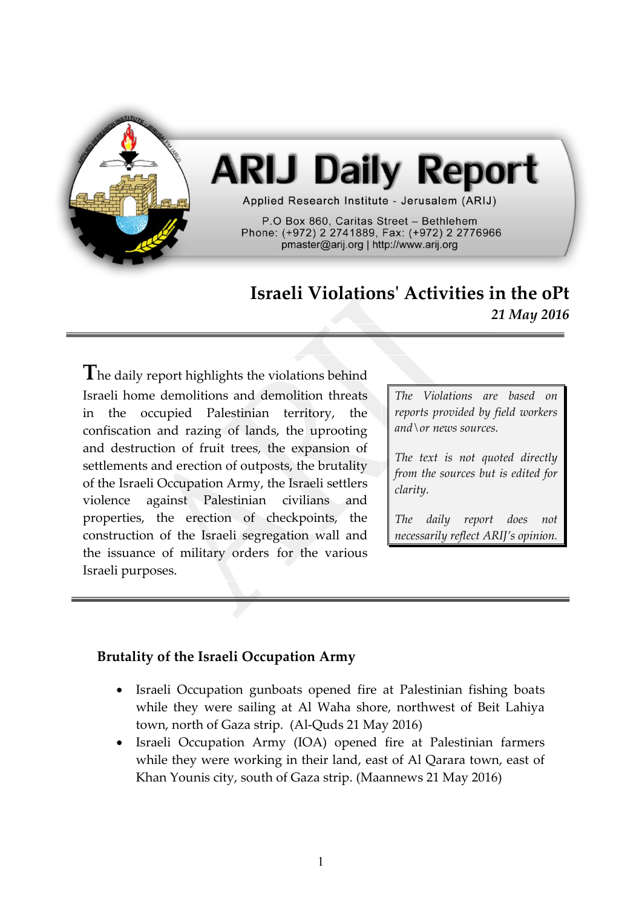

# **ARIJ Daily Report**

Applied Research Institute - Jerusalem (ARIJ)

P.O Box 860, Caritas Street - Bethlehem Phone: (+972) 2 2741889, Fax: (+972) 2 2776966 pmaster@arij.org | http://www.arij.org

## **Israeli Violations' Activities in the oPt** *21 May 2016*

**T**he daily report highlights the violations behind Israeli home demolitions and demolition threats in the occupied Palestinian territory, the confiscation and razing of lands, the uprooting and destruction of fruit trees, the expansion of settlements and erection of outposts, the brutality of the Israeli Occupation Army, the Israeli settlers violence against Palestinian civilians and properties, the erection of checkpoints, the construction of the Israeli segregation wall and the issuance of military orders for the various Israeli purposes.

*The Violations are based on reports provided by field workers and\or news sources.*

*The text is not quoted directly from the sources but is edited for clarity.*

*The daily report does not necessarily reflect ARIJ's opinion.*

### **Brutality of the Israeli Occupation Army**

- Israeli Occupation gunboats opened fire at Palestinian fishing boats while they were sailing at Al Waha shore, northwest of Beit Lahiya town, north of Gaza strip. (Al-Quds 21 May 2016)
- Israeli Occupation Army (IOA) opened fire at Palestinian farmers while they were working in their land, east of Al Qarara town, east of Khan Younis city, south of Gaza strip. (Maannews 21 May 2016)